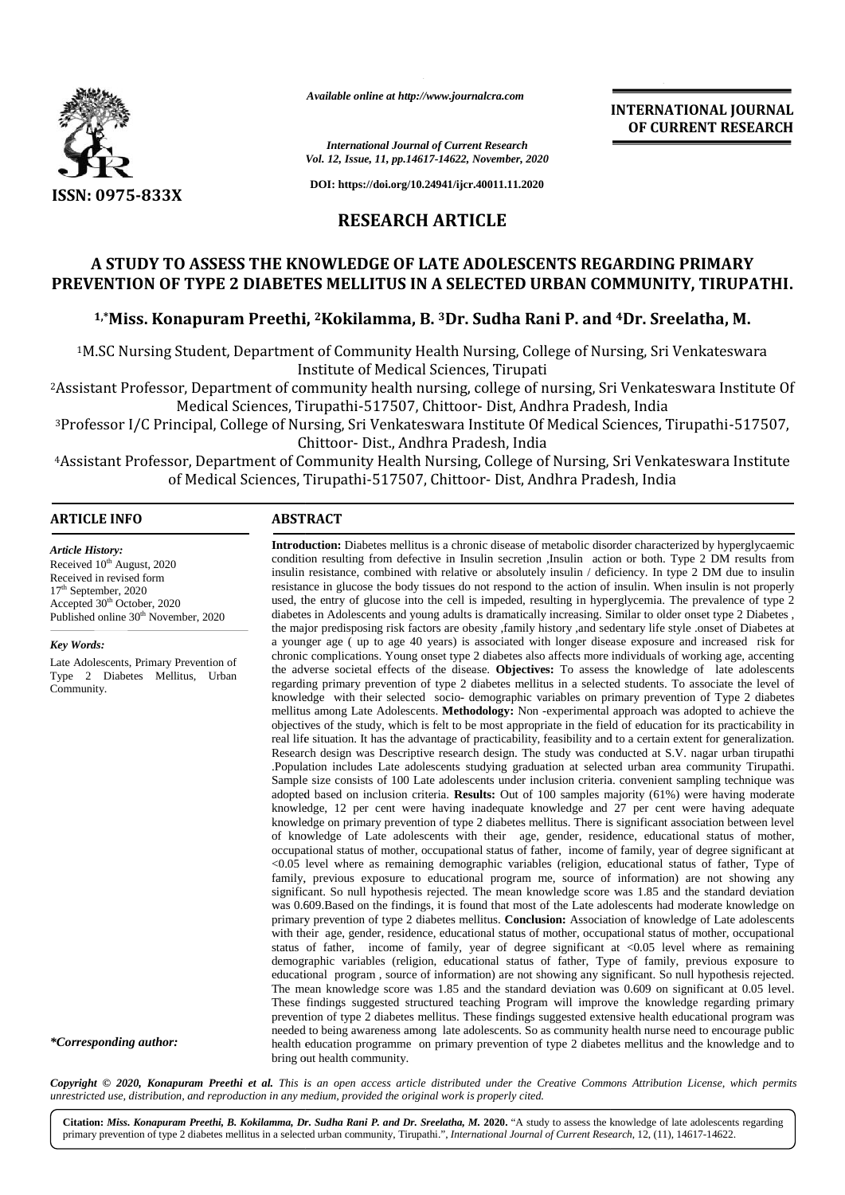

*Available online at http://www.journalcra.com http://www.journalcra.com*

**INTERNATIONAL JOURNAL OF CURRENT RESEARCH**

*International Journal of Current Research Vol. 12, Issue, 11, pp.14617-14622, November, 2020*

**DOI: https://doi.org/10.24941/ijcr.40011.11.2020**

# **RESEARCH ARTICLE**

# **A STUDY TO ASSESS THE KNOWLEDGE OF LATE ADOLESCENTS REGARDING PRIMARY KNOWLEDGE PREVENTION OF TYPE 2 DIABETES MELLITUS IN A SELECTED URBAN COMMUNITY, TIRUPATHI.**

# **1,\*Miss. Konapuram Preethi, <sup>2</sup>Kokilamma, B. <sup>3</sup>Dr. Sudha Rani P. and <sup>4</sup>Dr. Sreelatha, M.**

1M.SC Nursing Student, Department of Community Health Nursing, College of Nursing, Sri Venkateswara Institute of Medical Sciences, Tirupati

<sup>2</sup>Assistant Professor, Department of community health nursing, college of nursing, Sri Venkateswara Institute Of Medical Sciences, Tirupathi-517507, Chittoor- Dist, Andhra Pradesh, India

<sup>3</sup>Professor I/C Principal, College of Nursing, Sri Venkateswara Institute Of Medical Sciences, Tirupathi-517507, Chittoor- Dist., Andhra Pradesh, India 2Assistant Professor, Department of community health nursing, college of nursing, Sri Ve<br>Medical Sciences, Tirupathi-517507, Chittoor- Dist, Andhra Pradesh,<br>Professor I/C Principal, College of Nursing, Sri Venkateswara Ins

4Assistant Professor, Department of Community Health Nursing, College of Nursing, Sri Venkateswara Institute of Medical Sciences, Tirupathi-517507, Chittoor- Dist, Andhra Pradesh, India

## **ARTICLE INFO ABSTRACT ARTICLE ABSTRACT**

*Article History:* Received  $10^{th}$  August, 2020 Received in revised form<br>17<sup>th</sup> September, 2020  $17<sup>th</sup>$  September, 2020 Accepted 30<sup>th</sup> October, 2020 Accepted 30<sup>th</sup> October, 2020<br>Published online 30<sup>th</sup> November, 2020

#### *Key Words:*

Late Adolescents, Primary Prevention of Type 2 Diabetes Mellitus, Urban Community.

*\*Corresponding author:*

**Introduction:** Diabetes mellitus is a chronic disease of metabolic disorder characterized by hyperglycaemic condition resulting from defective in Insulin secretion ,Insulin action or both. Type 2 DM results from insulin resistance, combined with relative or absolutely insulin / deficiency. In type 2 DM due to insulin resistance in glucose the body tissues do not respond to the action of insulin. When insulin is not properly used, the entry of glucose into the cell is impeded, resulting in hyperglycemia. The prevalence of type 2 diabetes in Adolescents and young adults is dramatically increasing. Similar to older onset type 2 Diabetes , the major predisposing risk factors are obesity ,family history ,and sedentary life style .onset of Diabetes at a younger age ( up to age 40 years) is associated with longer disease exposure and increased risk for chronic complications. Young onset type 2 diabetes also affects more individuals of working age, accenting the adverse societal effects of the disease. **Objectives:** To assess the knowledge of late adolescents regarding primary prevention of type 2 diabetes mellitus in a selected students. To associate the level of knowledge with their selected socio- demographic variables on primary prevention of Type 2 diabetes mellitus among Late Adolescents. **Methodology:** Non -experimental approach was adopted to achieve the objectives of the study, which is felt to be most appropriate in the field of education for its practicability in real life situation. It has the advantage of practicability, feasibility and to a certain extent for generalization. Research design was Descriptive research design. The study was conducted at S.V. nagar urban tirupathi objectives of the study, which is felt to be most appropriate in the field of education for its practicability in real life situation. It has the advantage of practicability, feasibility and to a certain extent for general Sample size consists of 100 Late adolescents under inclusion criteria. convenient sampling technique was adopted based on inclusion criteria. **Results:** Out of 100 samples majority (61%) were having moderate knowledge, 12 per cent were having inadequate knowledge and 27 per cent were having adequate knowledge on primary prevention of type 2 diabetes mellitus. There is significant association between level Sample size consists of 100 Late adolescents under inclusion criteria. convenient sampling technique was adopted based on inclusion criteria. **Results:** Out of 100 samples majority (61%) were having moderate knowledge, 12 occupational status of mother, occupational status of father, income of family, year of degree significant at <0.05 level where as remaining demographic variables (religion, educational status of father, Type of family, previous exposure to educational program me, source of information) are not showing any significant. So null hypothesis rejected. The mean knowledge score was 1.85 and the standard deviation was 0.609.Based on the findings, it is found that most of the Late adolescents had moderate knowledge on primary prevention of type 2 diabetes mellitus. **Conclusion:** Association of knowledge of Late adolescents with their age, gender, residence, educational status of mother, occupational status of mother, occupational status of father, income of family, year of degree significant at <0.05 level where as remaining demographic variables (religion, educational status of father, Type of family, previous exposure to educational program , source of information) are not showing any significant. So null hypothesis rejected. The mean knowledge score was 1.85 and the standard deviation was 0.609 on significant at 0.05 level. These findings suggested structured teaching Program will improve the knowledge regarding primary prevention of type 2 diabetes mellitus. These findings suggested extensive health educational program was needed to being awareness among late adolescents. So as community health nurse need to encourage public health education programme on primary prevention of type 2 diabetes mellitus and the knowledge and to bring out health community. bring out health community. condition resulting from defective in Insulin secretion ,Insulin action or both. Type 2 DM results from<br>insulin resistance, combined with relative or absolutely insulin / deficiency. In type 2 DM due to insulin<br>resistance occupational status of mother, occupational status of father, income of family, year of degree significant at  $<0.05$  level where as remaining demographic variables (religion, educational status of father, Type of family, These findings suggested structured teaching Program will improve the knowledge regarding primary<br>prevention of type 2 diabetes mellitus. These findings suggested extensive health educational program was<br>needed to being aw COPYRIGHT INTO THE INTERNATION CONSULTED INTO A CONSULTED INTO A CONSULTED INTO A CONSULTED INTO A CONSULTED INTO A STREET IS UNKNOWN THAT THE UPPER TRANSPORT INTO A STREET IS UNKNOWN THAT THE UPPER TRANSPORT INTO A STREE **A STUDY TO ASSESS THE KNOWLEDGE OF LATE ADOLESCENTS REGA<br>
PREVENTION OF TYPE 2 DIABETES MELLITUS IN A SELECTED URBAN CON<br>
1.<sup>7</sup>Miss. Konapuram Preethi, <sup>2</sup>Kokilamma, B. <sup>3D</sup>r. Sudha Rani P. and <sup>4</sup><br>
<sup>1</sup>M.SC Nursing Studen** INTERNATIONAL JI<br>
16 of Current Research<br>
16 of Current Research<br>
175-14621, soo and the case of the case of the case of the case of the<br>
175-14621, the membersion of the case of the case of the case of the<br>
187 and the s

Copyright © 2020, Konapuram Preethi et al. This is an open access article distributed under the Creative Commons Attribution License, which permits *unrestricted use,distribution, and reproduction in any medium, provided the original work is properly cited.*

**Citation:** *Miss. Konapuram Preethi, B. Kokilamma, Dr. Sudha Rani P. and Dr. Sreelatha, M.* **2020.** "A study to assess the knowledge of late adolescents regarding Citation: Miss. Konapuram Preethi, B. Kokilamma, Dr. Sudha Rani P. and Dr. Sreelatha, M. 2020. "A study to assess the knowledge of late adolescents reg<br>primary prevention of type 2 diabetes mellitus in a selected urban com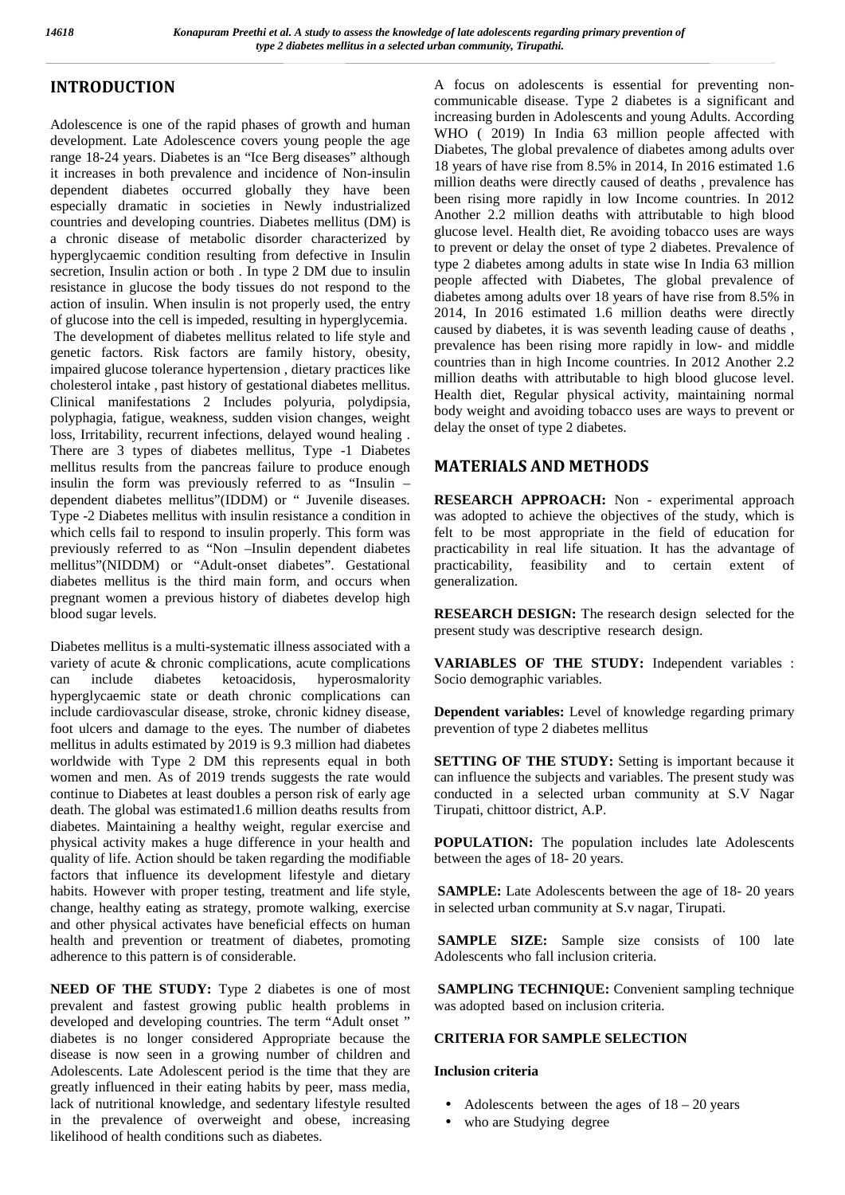# **INTRODUCTION**

Adolescence is one of the rapid phases of growth and human development. Late Adolescence covers young people the age range 18-24 years. Diabetes is an "Ice Berg diseases" although it increases in both prevalence and incidence of Non-insulin dependent diabetes occurred globally they have been especially dramatic in societies in Newly industrialized countries and developing countries. Diabetes mellitus (DM) is a chronic disease of metabolic disorder characterized by hyperglycaemic condition resulting from defective in Insulin secretion, Insulin action or both . In type 2 DM due to insulin resistance in glucose the body tissues do not respond to the action of insulin. When insulin is not properly used, the entry of glucose into the cell is impeded, resulting in hyperglycemia. The development of diabetes mellitus related to life style and genetic factors. Risk factors are family history, obesity, impaired glucose tolerance hypertension , dietary practices like cholesterol intake , past history of gestational diabetes mellitus. Clinical manifestations 2 Includes polyuria, polydipsia, polyphagia, fatigue, weakness, sudden vision changes, weight loss, Irritability, recurrent infections, delayed wound healing . There are 3 types of diabetes mellitus, Type -1 Diabetes mellitus results from the pancreas failure to produce enough insulin the form was previously referred to as "Insulin – dependent diabetes mellitus"(IDDM) or " Juvenile diseases. Type -2 Diabetes mellitus with insulin resistance a condition in which cells fail to respond to insulin properly. This form was previously referred to as "Non –Insulin dependent diabetes mellitus"(NIDDM) or "Adult-onset diabetes". Gestational diabetes mellitus is the third main form, and occurs when pregnant women a previous history of diabetes develop high blood sugar levels.

Diabetes mellitus is a multi-systematic illness associated with a variety of acute & chronic complications, acute complications can include diabetes ketoacidosis, hyperosmalority hyperglycaemic state or death chronic complications can include cardiovascular disease, stroke, chronic kidney disease, foot ulcers and damage to the eyes. The number of diabetes mellitus in adults estimated by 2019 is 9.3 million had diabetes worldwide with Type 2 DM this represents equal in both women and men. As of 2019 trends suggests the rate would continue to Diabetes at least doubles a person risk of early age death. The global was estimated1.6 million deaths results from diabetes. Maintaining a healthy weight, regular exercise and physical activity makes a huge difference in your health and quality of life. Action should be taken regarding the modifiable factors that influence its development lifestyle and dietary habits. However with proper testing, treatment and life style, change, healthy eating as strategy, promote walking, exercise and other physical activates have beneficial effects on human health and prevention or treatment of diabetes, promoting adherence to this pattern is of considerable.

**NEED OF THE STUDY:** Type 2 diabetes is one of most prevalent and fastest growing public health problems in developed and developing countries. The term "Adult onset " diabetes is no longer considered Appropriate because the disease is now seen in a growing number of children and Adolescents. Late Adolescent period is the time that they are greatly influenced in their eating habits by peer, mass media, lack of nutritional knowledge, and sedentary lifestyle resulted in the prevalence of overweight and obese, increasing likelihood of health conditions such as diabetes.

A focus on adolescents is essential for preventing non communicable disease. Type 2 diabetes is a significant and increasing burden in Adolescents and young Adults. According WHO (2019) In India 63 million people affected with Diabetes, The global prevalence of diabetes among adults over 18 years of have rise from 8.5% in 2014, In 2016 estimated 1.6 million deaths were directly caused of deaths , prevalence has been rising more rapidly in low Income countries. In 2012 Another 2.2 million deaths with attributable to high blood glucose level. Health diet, Re avoiding tobacco uses are ways to prevent or delay the onset of type 2 diabetes. Prevalence of type 2 diabetes among adults in state wise In India 63 million people affected with Diabetes, The global prevalence of diabetes among adults over 18 years of have rise from 8.5% in 2014, In 2016 estimated 1.6 million deaths were directly caused by diabetes, it is was seventh leading cause of deaths , prevalence has been rising more rapidly in low- and middle countries than in high Income countries. In 2012 Another 2.2 million deaths with attributable to high blood glucose level. Health diet, Regular physical activity, maintaining normal body weight and avoiding tobacco uses are ways to prevent or delay the onset of type 2 diabetes.

# **MATERIALS AND METHODS**

**RESEARCH APPROACH:** Non - experimental approach was adopted to achieve the objectives of the study, which is felt to be most appropriate in the field of education for practicability in real life situation. It has the advantage of practicability, feasibility and to certain extent of generalization.

**RESEARCH DESIGN:** The research design selected for the present study was descriptive research design.

**VARIABLES OF THE STUDY:** Independent variables : Socio demographic variables.

**Dependent variables:** Level of knowledge regarding primary prevention of type 2 diabetes mellitus

**SETTING OF THE STUDY:** Setting is important because it can influence the subjects and variables. The present study was conducted in a selected urban community at S.V Nagar Tirupati, chittoor district, A.P.

**POPULATION:** The population includes late Adolescents between the ages of 18- 20 years.

**SAMPLE:** Late Adolescents between the age of 18- 20 years in selected urban community at S.v nagar, Tirupati.

**SAMPLE SIZE:** Sample size consists of 100 late Adolescents who fall inclusion criteria.

**SAMPLING TECHNIQUE:** Convenient sampling technique was adopted based on inclusion criteria.

## **CRITERIA FOR SAMPLE SELECTION**

## **Inclusion criteria**

- Adolescents between the ages of  $18 20$  years
- who are Studying degree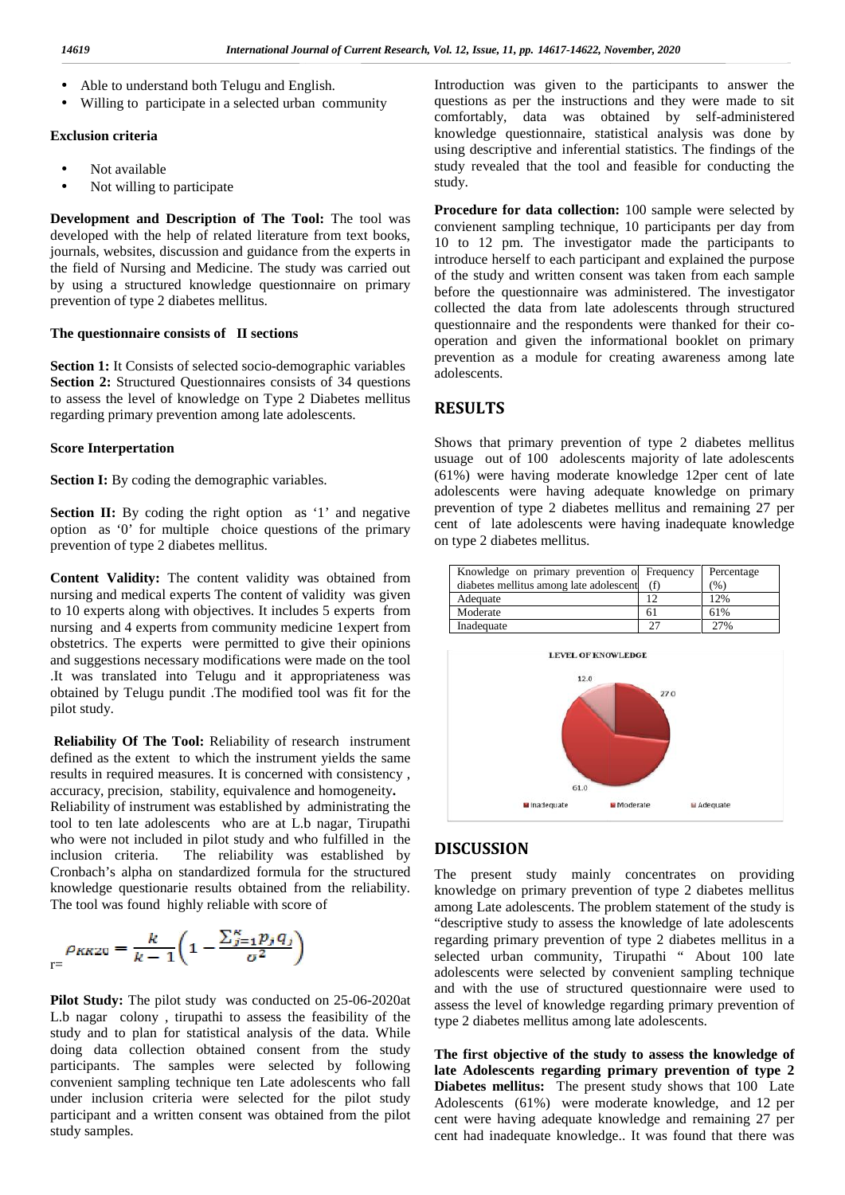Able to understand both Telugu and English.

Able to understand both Telugu and English.<br>
U Willing to participate in a selected urban community

#### **Exclusion criteria Exclusion criteria**

 Not available  $\left\langle \right\rangle$ 

Not willing to participate

**Development and Description of The Tool:** The tool was developed with the help of related literature from text books, journals, websites, discussion and guidance from the experts in  $\frac{10}{10}$ the field of Nursing and Medicine. The study was carried out by using a structured knowledge questionnaire on primary before prevention of type 2 diabetes mellitus. prevention of type 2 diabetes mellitus. **Development and Description of The Tool:** The tool was developed with the help of related literature from text books, journals, websites, discussion and guidance from the experts in the field of Nursing and Medicine. The

### **The questionnaire consists of II sections**

The questionnaire consists of **II** sections<br>
Section 1: It Consists of selected socio-demographic variables **Section 2:** Structured Questionnaires consists of 34 questions **Section 2:** Structured Questionnaires consists of 34 questions to assess the level of knowledge on Type 2 Diabetes mellitus regarding primary prevention among late adolescents.

#### **Score Interpertation Score**

**Section I:** By coding the demographic variables.

**Section II:** By coding the right option as '1' and negative **Section II:** By coding the right option as '1' and negative  $\frac{prev}{\text{opt}}$  option as '0' for multiple choice questions of the primary prevention of type 2 diabetes mellitus. prevention of type

**Content Validity:** The content validity was obtained from nursing and medical experts The content of validity was given to 10 experts along with objectives. It includes 5 experts from nursing and 4 experts from community medicine 1expert from obstetrics. The experts were permitted to give their opinions and suggestions necessary modifications were made on the tool .It was translated into Telugu and it appropriateness was obtained by Telugu pundit .The modified tool was fit for the pilot study. **Content Validity:** The content validity was obtained from nursing and medical experts The content of validity was given to 10 experts along with objectives. It includes 5 experts from nursing and 4 experts from community

**Reliability Of The Tool:** Reliability of research instrument defined as the extent to which the instrument yields the same defined as the extent to which the instrument yields the same results in required measures. It is concerned with consistency, accuracy, precision, stability, equivalence and homogeneity**.** Reliability of instrument was established by administrating the tool to ten late adolescents who are at L.b nagar, Tirupathi who were not included in pilot study and who fulfilled in the inclusion criteria. The reliability was established by **DI**S inclusion criteria. The reliability was established by Cronbach's alpha on standardized formula for the structured knowledge questionarie results obtained from the reliability. The tool was found highly reliable with score of accuracy, precision, stability, equivalence and homogeneity.<br>Reliability of instrument was established by administrating the<br>tool to ten late adolescents who are at L.b nagar, Tirupathi Cronbach's alpha on standardized formula for the<br>knowledge questionarie results obtained from the<br>The tool was found highly reliable with score of<br> $\rho_{KKZ0} = \frac{k}{k-1} \left( 1 - \frac{\sum_{j=1}^{K} p_j q_j}{\sigma^2} \right)$ 

$$
\rho_{KK20} = \frac{k}{k-1} \left( 1 - \frac{\sum_{j=1}^{K} p_j q_j}{\sigma^2} \right)
$$

**Pilot Study:** The pilot study was conducted on 25-06-2020at L.b nagar colony , tirupathi to assess the feasibility of the study and to plan for statistical analysis of the data. While doing data collection obtained consent from the study participants. The samples were selected by following L.b nagar colony, tirupathi to assess the feasibility of the study and to plan for statistical analysis of the data. While doing data collection obtained consent from the study participants. The samples were selected by fo under inclusion criteria were selected for the pilot study participant and a written consent was obtained from the pilot study samples. under inclusion criteria were selected for<br>participant and a written consent was obtaine<br>study samples.

Introduction was given to the participants to answer the questions as per the instructions and they were made to sit comfortably, data was obtained by self-administered knowledge questionnaire, statistical analysis was done by using descriptive and inferential statistics. The findings of the study revealed that the tool and feasible for conducting the study. given to the participants to answer<br>ne instructions and they were made to<br>nask obtained by self-administe<br>nanie, statistical analysis was done<br>nd inferential statistics. The findings of<br>t the tool and feasible for conducti

**Procedure for data collection:** 100 sample were selected by convienent sampling technique, 10 participants per day from 10 to 12 pm. The investigator made the participants to introduce herself to each participant and explained the purpose of the study and written consent was taken from each sample before the questionnaire was administered. The investigator collected the data from late adolescents through structured questionnaire and the respondents were thanked for their co operation and given the informational booklet on primary prevention as a module for creating awareness among late adolescents. **Procedure for data collection:** 100 sample were selected by<br>convienent sampling technique, 10 participants per day from<br>10 to 12 pm. The investigator made the participants to<br>introduce herealf to each participant and expl

## **RESULTS**

Shows that primary prevention of type 2 diabetes mellitus usuage out of 100 adolescents majority of late adolescents (61%) were having moderate knowledge 12per cent of late adolescents were having adequate knowledge on primary prevention of type 2 diabetes mellitus and remaining 27 per cent of late adolescents were having inadequate knowledge on type 2 diabetes mellitus.

| Knowledge on primary prevention of Frequency |    | Percentage |
|----------------------------------------------|----|------------|
| diabetes mellitus among late adolescent      |    | (96)       |
| Adequate                                     |    | 12%        |
| Moderate                                     | 61 | 61%        |
| Inadequate                                   | วา | 27%        |



# **DISCUSSION**

The present study mainly concentrates on providing knowledge on primary prevention of type 2 diabetes mellitus among Late adolescents. The problem statement of the study is "descriptive study to assess the knowledge of late adolescents regarding primary prevention of type 2 diabetes mellitus in a selected urban community, Tirupathi " About 100 late adolescents were selected by convenient sampling technique and with the use of structured questionnaire were used to assess the level of knowledge regarding primary prevention of type 2 diabetes mellitus among late adolescents. regarding primary prevention of type 2 diabetes mellitus in a selected urban community, Tirupathi " About 100 late adolescents were selected by convenient sampling technique and with the use of structured questionnaire wer

The first objective of the study to assess the knowledge of **late Adolescents regarding primary prevention of type 2 Diabetes mellitus:** The present study shows that 100 Late Adolescents (61%) were moderate knowledge, and 12 per cent were having adequate knowledge and remaining 27 per cent had inadequate knowledge.. It was found that there was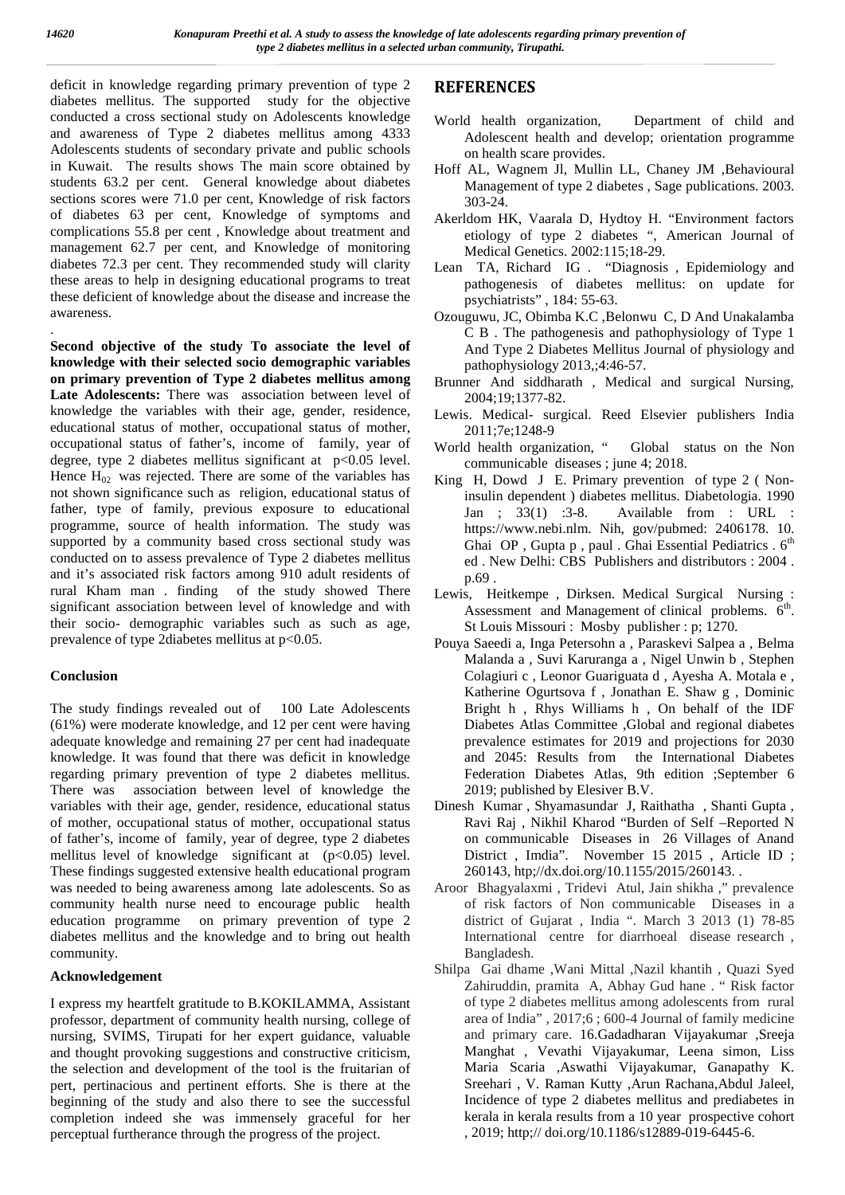.

deficit in knowledge regarding primary prevention of type 2 diabetes mellitus. The supported study for the objective conducted a cross sectional study on Adolescents knowledge and awareness of Type 2 diabetes mellitus among 4333 Adolescents students of secondary private and public schools in Kuwait. The results shows The main score obtained by students 63.2 per cent. General knowledge about diabetes sections scores were 71.0 per cent, Knowledge of risk factors of diabetes 63 per cent, Knowledge of symptoms and complications 55.8 per cent , Knowledge about treatment and management 62.7 per cent, and Knowledge of monitoring diabetes 72.3 per cent. They recommended study will clarity these areas to help in designing educational programs to treat these deficient of knowledge about the disease and increase the awareness.

**Second objective of the study To associate the level of knowledge with their selected socio demographic variables on primary prevention of Type 2 diabetes mellitus among Late Adolescents:** There was association between level of knowledge the variables with their age, gender, residence, educational status of mother, occupational status of mother, occupational status of father's, income of family, year of degree, type 2 diabetes mellitus significant at p<0.05 level. Hence  $H_{02}$  was rejected. There are some of the variables has not shown significance such as religion, educational status of father, type of family, previous exposure to educational programme, source of health information. The study was supported by a community based cross sectional study was conducted on to assess prevalence of Type 2 diabetes mellitus and it's associated risk factors among 910 adult residents of rural Kham man . finding of the study showed There significant association between level of knowledge and with their socio- demographic variables such as such as age, prevalence of type 2diabetes mellitus at  $p<0.05$ .

## **Conclusion**

The study findings revealed out of 100 Late Adolescents (61%) were moderate knowledge, and 12 per cent were having adequate knowledge and remaining 27 per cent had inadequate knowledge. It was found that there was deficit in knowledge regarding primary prevention of type 2 diabetes mellitus. There was association between level of knowledge the variables with their age, gender, residence, educational status of mother, occupational status of mother, occupational status of father's, income of family, year of degree, type 2 diabetes mellitus level of knowledge significant at (p<0.05) level. These findings suggested extensive health educational program was needed to being awareness among late adolescents. So as community health nurse need to encourage public health education programme on primary prevention of type 2 diabetes mellitus and the knowledge and to bring out health community.

## **Acknowledgement**

I express my heartfelt gratitude to B.KOKILAMMA, Assistant professor, department of community health nursing, college of nursing, SVIMS, Tirupati for her expert guidance, valuable and thought provoking suggestions and constructive criticism, the selection and development of the tool is the fruitarian of pert, pertinacious and pertinent efforts. She is there at the beginning of the study and also there to see the successful completion indeed she was immensely graceful for her perceptual furtherance through the progress of the project.

# **REFERENCES**

- World health organization, Department of child and Adolescent health and develop; orientation programme on health scare provides.
- Hoff AL, Wagnem Jl, Mullin LL, Chaney JM ,Behavioural Management of type 2 diabetes , Sage publications. 2003. 303-24.
- Akerldom HK, Vaarala D, Hydtoy H. "Environment factors etiology of type 2 diabetes ", American Journal of Medical Genetics. 2002:115;18-29.
- Lean TA, Richard IG . "Diagnosis , Epidemiology and pathogenesis of diabetes mellitus: on update for psychiatrists" , 184: 55-63.
- Ozouguwu, JC, Obimba K.C ,Belonwu C, D And Unakalamba C B . The pathogenesis and pathophysiology of Type 1 And Type 2 Diabetes Mellitus Journal of physiology and pathophysiology 2013,;4:46-57.
- Brunner And siddharath , Medical and surgical Nursing, 2004;19;1377-82.
- Lewis. Medical- surgical. Reed Elsevier publishers India 2011;7e;1248-9
- World health organization, " Global status on the Non communicable diseases ; june 4; 2018.
- King H, Dowd J E. Primary prevention of type 2 ( Noninsulin dependent ) diabetes mellitus. Diabetologia. 1990 Jan ; 33(1) :3-8. Available from : URL : https://www.nebi.nlm. Nih, gov/pubmed: 2406178. 10. Ghai OP, Gupta p, paul. Ghai Essential Pediatrics .  $6<sup>th</sup>$ ed . New Delhi: CBS Publishers and distributors : 2004 . p.69 .
- Lewis, Heitkempe , Dirksen. Medical Surgical Nursing : Assessment and Management of clinical problems.  $6<sup>th</sup>$ . St Louis Missouri : Mosby publisher : p; 1270.
- Pouya Saeedi a, Inga Petersohn a , Paraskevi Salpea a , Belma Malanda a , Suvi Karuranga a , Nigel Unwin b , Stephen Colagiuri c , Leonor Guariguata d , Ayesha A. Motala e , Katherine Ogurtsova f , Jonathan E. Shaw g , Dominic Bright h , Rhys Williams h , On behalf of the IDF Diabetes Atlas Committee ,Global and regional diabetes prevalence estimates for 2019 and projections for 2030 and 2045: Results from the International Diabetes Federation Diabetes Atlas, 9th edition ;September 6 2019; published by Elesiver B.V.
- Dinesh Kumar , Shyamasundar J, Raithatha , Shanti Gupta , Ravi Raj , Nikhil Kharod "Burden of Self –Reported N on communicable Diseases in 26 Villages of Anand District , Imdia". November 15 2015 , Article ID ; 260143, htp;//dx.doi.org/10.1155/2015/260143. .
- Aroor Bhagyalaxmi , Tridevi Atul, Jain shikha ," prevalence of risk factors of Non communicable Diseases in a district of Gujarat , India ". March 3 2013 (1) 78-85 International centre for diarrhoeal disease research , Bangladesh.
- Shilpa Gai dhame ,Wani Mittal ,Nazil khantih , Quazi Syed Zahiruddin, pramita A, Abhay Gud hane . " Risk factor of type 2 diabetes mellitus among adolescents from rural area of India" , 2017;6 ; 600-4 Journal of family medicine and primary care. 16.Gadadharan Vijayakumar ,Sreeja Manghat , Vevathi Vijayakumar, Leena simon, Liss Maria Scaria ,Aswathi Vijayakumar, Ganapathy K. Sreehari , V. Raman Kutty ,Arun Rachana,Abdul Jaleel, Incidence of type 2 diabetes mellitus and prediabetes in kerala in kerala results from a 10 year prospective cohort , 2019; http;// doi.org/10.1186/s12889-019-6445-6.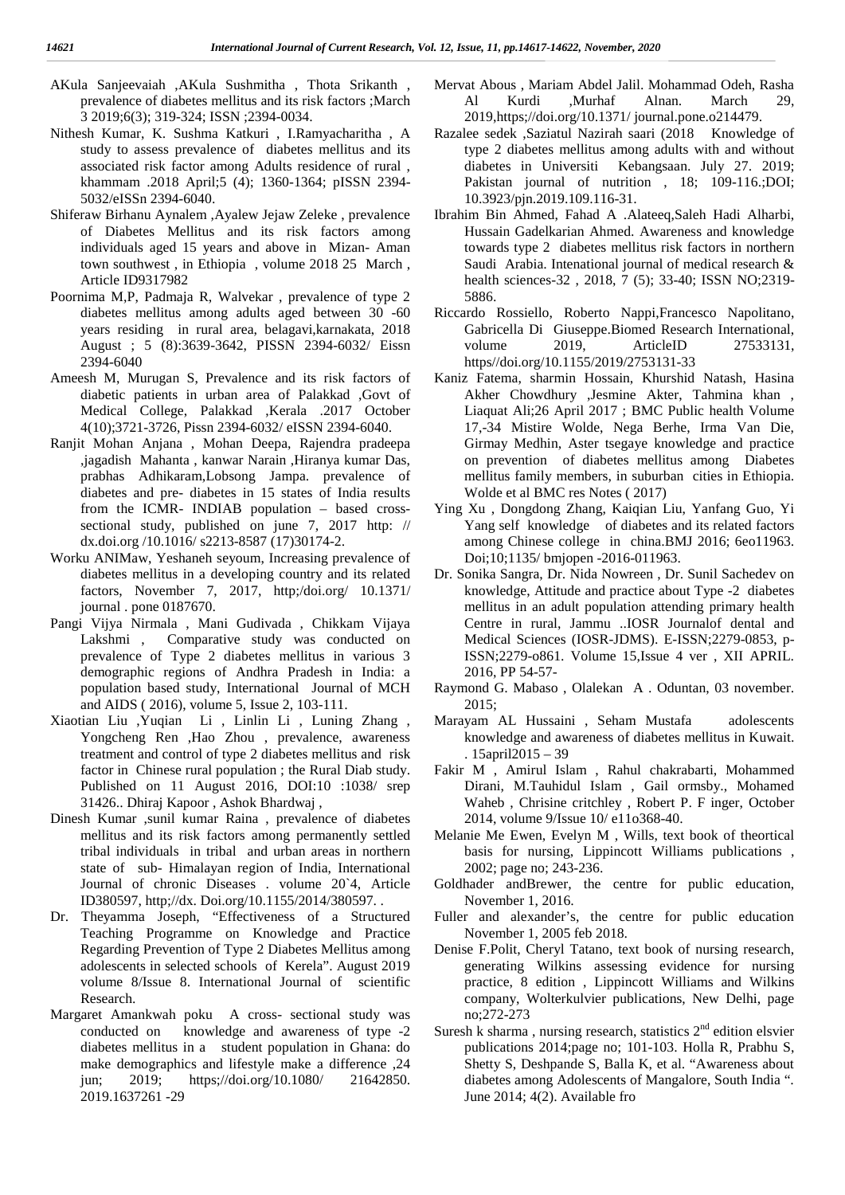- AKula Sanjeevaiah ,AKula Sushmitha , Thota Srikanth , prevalence of diabetes mellitus and its risk factors ;March 3 2019;6(3); 319-324; ISSN ;2394-0034.
- Nithesh Kumar, K. Sushma Katkuri , I.Ramyacharitha , A study to assess prevalence of diabetes mellitus and its associated risk factor among Adults residence of rural , khammam .2018 April;5 (4); 1360-1364; pISSN 2394- 5032/eISSn 2394-6040.
- Shiferaw Birhanu Aynalem ,Ayalew Jejaw Zeleke , prevalence of Diabetes Mellitus and its risk factors among individuals aged 15 years and above in Mizan- Aman town southwest , in Ethiopia , volume 2018 25 March , Article ID9317982
- Poornima M,P, Padmaja R, Walvekar , prevalence of type 2 diabetes mellitus among adults aged between 30 -60 years residing in rural area, belagavi,karnakata, 2018 August ; 5 (8):3639-3642, PISSN 2394-6032/ Eissn 2394-6040
- Ameesh M, Murugan S, Prevalence and its risk factors of diabetic patients in urban area of Palakkad ,Govt of Medical College, Palakkad ,Kerala .2017 October 4(10);3721-3726, Pissn 2394-6032/ eISSN 2394-6040.
- Ranjit Mohan Anjana , Mohan Deepa, Rajendra pradeepa ,jagadish Mahanta , kanwar Narain ,Hiranya kumar Das, prabhas Adhikaram,Lobsong Jampa. prevalence of diabetes and pre- diabetes in 15 states of India results from the ICMR- INDIAB population – based cross sectional study, published on june 7, 2017 http: // dx.doi.org /10.1016/ s2213-8587 (17)30174-2.
- Worku ANIMaw, Yeshaneh seyoum, Increasing prevalence of diabetes mellitus in a developing country and its related factors, November 7, 2017, http;/doi.org/ 10.1371/ journal . pone 0187670.
- Pangi Vijya Nirmala , Mani Gudivada , Chikkam Vijaya Lakshmi , Comparative study was conducted on prevalence of Type 2 diabetes mellitus in various 3 demographic regions of Andhra Pradesh in India: a population based study, International Journal of MCH and AIDS ( 2016), volume 5, Issue 2, 103-111.
- Xiaotian Liu ,Yuqian Li , Linlin Li , Luning Zhang , Yongcheng Ren ,Hao Zhou , prevalence, awareness treatment and control of type 2 diabetes mellitus and risk factor in Chinese rural population ; the Rural Diab study. Published on 11 August 2016, DOI:10 :1038/ srep 31426.. Dhiraj Kapoor , Ashok Bhardwaj ,
- Dinesh Kumar ,sunil kumar Raina , prevalence of diabetes mellitus and its risk factors among permanently settled tribal individuals in tribal and urban areas in northern state of sub- Himalayan region of India, International Journal of chronic Diseases . volume 20`4, Article ID380597, http;//dx. Doi.org/10.1155/2014/380597. .
- Dr. Theyamma Joseph, "Effectiveness of a Structured Teaching Programme on Knowledge and Practice Regarding Prevention of Type 2 Diabetes Mellitus among adolescents in selected schools of Kerela". August 2019 volume 8/Issue 8. International Journal of scientific Research.
- Margaret Amankwah poku A cross- sectional study was conducted on knowledge and awareness of type -2 diabetes mellitus in a student population in Ghana: do make demographics and lifestyle make a difference ,24 jun; 2019; https;//doi.org/10.1080/ 21642850. 2019.1637261 -29
- Mervat Abous , Mariam Abdel Jalil. Mohammad Odeh, Rasha Al Kurdi ,Murhaf Alnan. March 29, 2019,https;//doi.org/10.1371/ journal.pone.o214479.
- Razalee sedek ,Saziatul Nazirah saari (2018 Knowledge of type 2 diabetes mellitus among adults with and without diabetes in Universiti Kebangsaan. July 27. 2019; Pakistan journal of nutrition , 18; 109-116.;DOI; 10.3923/pjn.2019.109.116-31.
- Ibrahim Bin Ahmed, Fahad A .Alateeq,Saleh Hadi Alharbi, Hussain Gadelkarian Ahmed. Awareness and knowledge towards type 2 diabetes mellitus risk factors in northern Saudi Arabia. Intenational journal of medical research & health sciences-32 , 2018, 7 (5); 33-40; ISSN NO;2319- 5886.
- Riccardo Rossiello, Roberto Nappi,Francesco Napolitano, Gabricella Di Giuseppe.Biomed Research International, volume 2019, ArticleID 27533131, https//doi.org/10.1155/2019/2753131-33
- Kaniz Fatema, sharmin Hossain, Khurshid Natash, Hasina Akher Chowdhury ,Jesmine Akter, Tahmina khan , Liaquat Ali;26 April 2017 ; BMC Public health Volume 17,-34 Mistire Wolde, Nega Berhe, Irma Van Die, Girmay Medhin, Aster tsegaye knowledge and practice on prevention of diabetes mellitus among Diabetes mellitus family members, in suburban cities in Ethiopia. Wolde et al BMC res Notes ( 2017)
- Ying Xu , Dongdong Zhang, Kaiqian Liu, Yanfang Guo, Yi Yang self knowledge of diabetes and its related factors among Chinese college in china.BMJ 2016; 6eo11963. Doi;10;1135/ bmjopen -2016-011963.
- Dr. Sonika Sangra, Dr. Nida Nowreen , Dr. Sunil Sachedev on knowledge, Attitude and practice about Type -2 diabetes mellitus in an adult population attending primary health Centre in rural, Jammu ..IOSR Journalof dental and Medical Sciences (IOSR-JDMS). E-ISSN;2279-0853, p-ISSN;2279-o861. Volume 15,Issue 4 ver , XII APRIL. 2016, PP 54-57-
- Raymond G. Mabaso , Olalekan A . Oduntan, 03 november. 2015;
- Marayam AL Hussaini , Seham Mustafa adolescents knowledge and awareness of diabetes mellitus in Kuwait. . 15april2015 – 39
- Fakir M , Amirul Islam , Rahul chakrabarti, Mohammed Dirani, M.Tauhidul Islam , Gail ormsby., Mohamed Waheb , Chrisine critchley , Robert P. F inger, October 2014, volume 9/Issue 10/ e11o368-40.
- Melanie Me Ewen, Evelyn M , Wills, text book of theortical basis for nursing, Lippincott Williams publications , 2002; page no; 243-236.
- Goldhader andBrewer, the centre for public education, November 1, 2016.
- Fuller and alexander's, the centre for public education November 1, 2005 feb 2018.
- Denise F.Polit, Cheryl Tatano, text book of nursing research, generating Wilkins assessing evidence for nursing practice, 8 edition , Lippincott Williams and Wilkins company, Wolterkulvier publications, New Delhi, page no;272-273
- Suresh k sharma, nursing research, statistics  $2<sup>nd</sup>$  edition elsvier publications 2014;page no; 101-103. Holla R, Prabhu S, Shetty S, Deshpande S, Balla K, et al. "Awareness about diabetes among Adolescents of Mangalore, South India ". June 2014; 4(2). Available fro